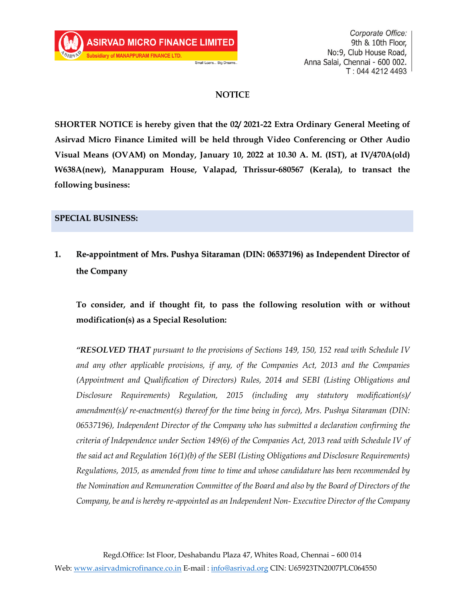### **NOTICE**

Small Loans... Big Dreams.

**SHORTER NOTICE is hereby given that the 02/ 2021-22 Extra Ordinary General Meeting of Asirvad Micro Finance Limited will be held through Video Conferencing or Other Audio Visual Means (OVAM) on Monday, January 10, 2022 at 10.30 A. M. (IST), at IV/470A(old) W638A(new), Manappuram House, Valapad, Thrissur-680567 (Kerala), to transact the following business:**

### **SPECIAL BUSINESS:**

**1. Re-appointment of Mrs. Pushya Sitaraman (DIN: 06537196) as Independent Director of the Company**

**To consider, and if thought fit, to pass the following resolution with or without modification(s) as a Special Resolution:**

*"RESOLVED THAT pursuant to the provisions of Sections 149, 150, 152 read with Schedule IV and any other applicable provisions, if any, of the Companies Act, 2013 and the Companies (Appointment and Qualification of Directors) Rules, 2014 and SEBI (Listing Obligations and Disclosure Requirements) Regulation, 2015 (including any statutory modification(s)/ amendment(s)/ re-enactment(s) thereof for the time being in force), Mrs. Pushya Sitaraman (DIN: 06537196), Independent Director of the Company who has submitted a declaration confirming the criteria of Independence under Section 149(6) of the Companies Act, 2013 read with Schedule IV of the said act and Regulation 16(1)(b) of the SEBI (Listing Obligations and Disclosure Requirements) Regulations, 2015, as amended from time to time and whose candidature has been recommended by the Nomination and Remuneration Committee of the Board and also by the Board of Directors of the Company, be and is hereby re-appointed as an Independent Non- Executive Director of the Company*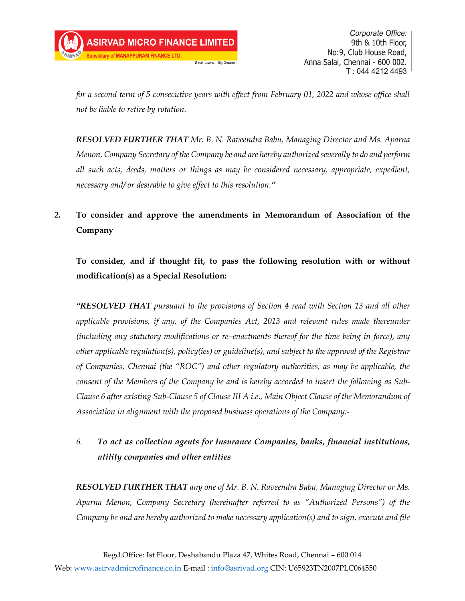*for a second term of 5 consecutive years with effect from February 01, 2022 and whose office shall not be liable to retire by rotation.*

*RESOLVED FURTHER THAT Mr. B. N. Raveendra Babu, Managing Director and Ms. Aparna Menon, Company Secretary of the Company be and are hereby authorized severally to do and perform all such acts, deeds, matters or things as may be considered necessary, appropriate, expedient, necessary and/ or desirable to give effect to this resolution."*

## *2.* **To consider and approve the amendments in Memorandum of Association of the Company**

**To consider, and if thought fit, to pass the following resolution with or without modification(s) as a Special Resolution:**

*"RESOLVED THAT pursuant to the provisions of Section 4 read with Section 13 and all other applicable provisions, if any, of the Companies Act, 2013 and relevant rules made thereunder (including any statutory modifications or re–enactments thereof for the time being in force), any other applicable regulation(s), policy(ies) or guideline(s), and subject to the approval of the Registrar of Companies, Chennai (the "ROC") and other regulatory authorities, as may be applicable, the consent of the Members of the Company be and is hereby accorded to insert the following as Sub-Clause 6 after existing Sub-Clause 5 of Clause III A i.e., Main Object Clause of the Memorandum of Association in alignment with the proposed business operations of the Company:-*

### *6. To act as collection agents for Insurance Companies, banks, financial institutions, utility companies and other entities*

*RESOLVED FURTHER THAT any one of Mr. B. N. Raveendra Babu, Managing Director or Ms. Aparna Menon, Company Secretary (hereinafter referred to as "Authorized Persons") of the Company be and are hereby authorized to make necessary application(s) and to sign, execute and file*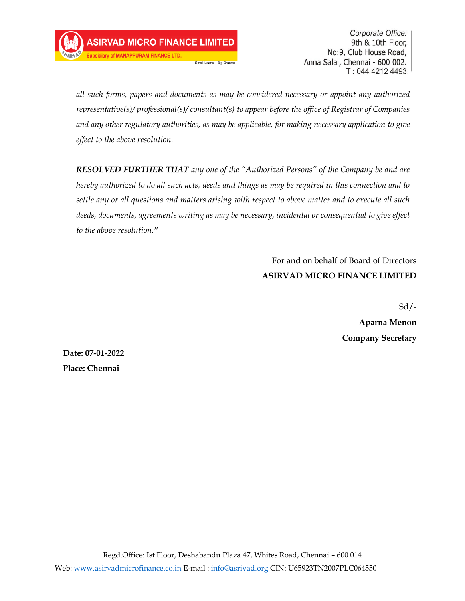**Jary of MANAPPURAM FINANCE LTD** 

Corporate Office: 9th & 10th Floor, No:9, Club House Road, Anna Salai, Chennai - 600 002. T: 044 4212 4493

*all such forms, papers and documents as may be considered necessary or appoint any authorized representative(s)/ professional(s)/ consultant(s) to appear before the office of Registrar of Companies and any other regulatory authorities, as may be applicable, for making necessary application to give effect to the above resolution.*

Small Loans... Big Dreams

*RESOLVED FURTHER THAT any one of the "Authorized Persons" of the Company be and are hereby authorized to do all such acts, deeds and things as may be required in this connection and to settle any or all questions and matters arising with respect to above matter and to execute all such deeds, documents, agreements writing as may be necessary, incidental or consequential to give effect to the above resolution."*

> For and on behalf of Board of Directors **ASIRVAD MICRO FINANCE LIMITED**

> > $Sd$  /-

**Aparna Menon Company Secretary**

**Date: 07-01-2022 Place: Chennai**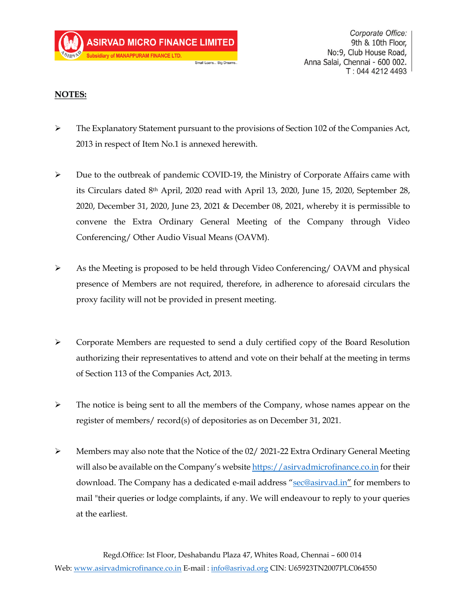### **NOTES:**

➢ The Explanatory Statement pursuant to the provisions of Section 102 of the Companies Act, 2013 in respect of Item No.1 is annexed herewith.

Small Loans... Big Dreams

- ➢ Due to the outbreak of pandemic COVID-19, the Ministry of Corporate Affairs came with its Circulars dated 8th April, 2020 read with April 13, 2020, June 15, 2020, September 28, 2020, December 31, 2020, June 23, 2021 & December 08, 2021, whereby it is permissible to convene the Extra Ordinary General Meeting of the Company through Video Conferencing/ Other Audio Visual Means (OAVM).
- ➢ As the Meeting is proposed to be held through Video Conferencing/ OAVM and physical presence of Members are not required, therefore, in adherence to aforesaid circulars the proxy facility will not be provided in present meeting.
- ➢ Corporate Members are requested to send a duly certified copy of the Board Resolution authorizing their representatives to attend and vote on their behalf at the meeting in terms of Section 113 of the Companies Act, 2013.
- $\triangleright$  The notice is being sent to all the members of the Company, whose names appear on the register of members/ record(s) of depositories as on December 31, 2021.
- $\triangleright$  Members may also note that the Notice of the 02/ 2021-22 Extra Ordinary General Meeting will also be available on the Company's website [https://asirvadmicrofinance.co.in](https://asirvadmicrofinance.co.in/) for their download. The Company has a dedicated e-mail address "[sec@asirvad.in](mailto:sec@asirvad.in)" for members to mail "their queries or lodge complaints, if any. We will endeavour to reply to your queries at the earliest.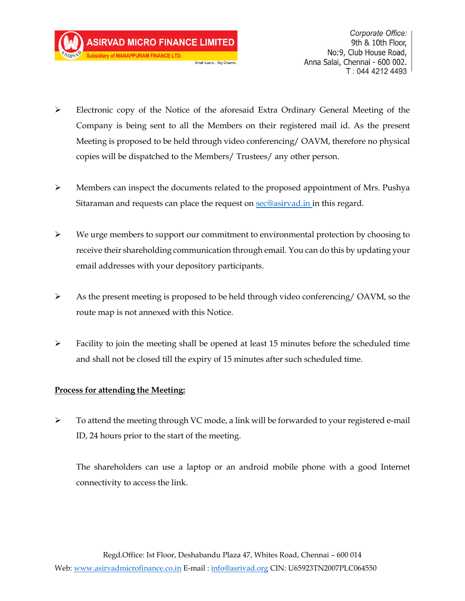**Subsidiary of MANAPPURAM FINANCE LTD** 

Corporate Office: 9th & 10th Floor, No:9, Club House Road, Anna Salai, Chennai - 600 002. T: 044 4212 4493

➢ Electronic copy of the Notice of the aforesaid Extra Ordinary General Meeting of the Company is being sent to all the Members on their registered mail id. As the present Meeting is proposed to be held through video conferencing/ OAVM, therefore no physical copies will be dispatched to the Members/ Trustees/ any other person.

Small Loans... Big Dreams

- ➢ Members can inspect the documents related to the proposed appointment of Mrs. Pushya Sitaraman and requests can place the request on [sec@asirvad.in](mailto:sec@asirvad.in) in this regard.
- $\triangleright$  We urge members to support our commitment to environmental protection by choosing to receive their shareholding communication through email. You can do this by updating your email addresses with your depository participants.
- $\triangleright$  As the present meeting is proposed to be held through video conferencing/ OAVM, so the route map is not annexed with this Notice.
- $\triangleright$  Facility to join the meeting shall be opened at least 15 minutes before the scheduled time and shall not be closed till the expiry of 15 minutes after such scheduled time.

### **Process for attending the Meeting:**

 $\triangleright$  To attend the meeting through VC mode, a link will be forwarded to your registered e-mail ID, 24 hours prior to the start of the meeting.

The shareholders can use a laptop or an android mobile phone with a good Internet connectivity to access the link.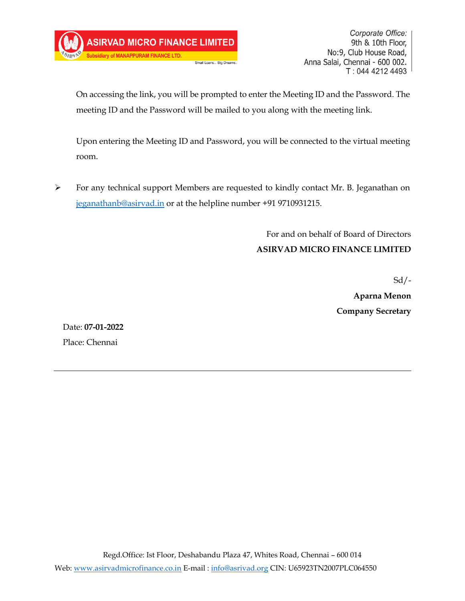On accessing the link, you will be prompted to enter the Meeting ID and the Password. The meeting ID and the Password will be mailed to you along with the meeting link.

Small Loans... Big Dreams

Upon entering the Meeting ID and Password, you will be connected to the virtual meeting room.

➢ For any technical support Members are requested to kindly contact Mr. B. Jeganathan on [jeganathanb@asirvad.in](mailto:jeganathanb@asirvad.in) or at the helpline number +91 9710931215.

> For and on behalf of Board of Directors **ASIRVAD MICRO FINANCE LIMITED**

> > Sd/-

**Aparna Menon Company Secretary**

Date: **07-01-2022** Place: Chennai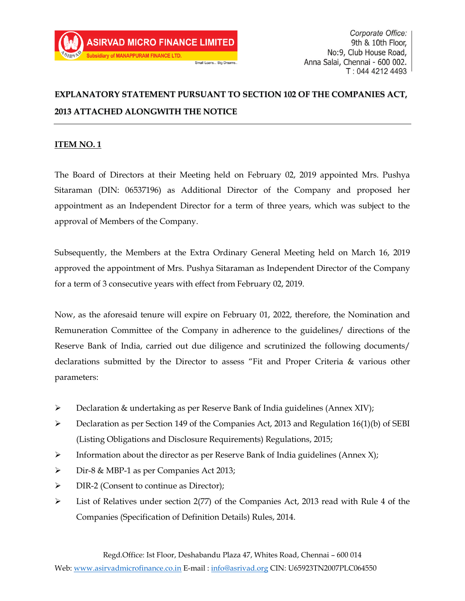# **EXPLANATORY STATEMENT PURSUANT TO SECTION 102 OF THE COMPANIES ACT, 2013 ATTACHED ALONGWITH THE NOTICE**

### **ITEM NO. 1**

The Board of Directors at their Meeting held on February 02, 2019 appointed Mrs. Pushya Sitaraman (DIN: 06537196) as Additional Director of the Company and proposed her appointment as an Independent Director for a term of three years, which was subject to the approval of Members of the Company.

Subsequently, the Members at the Extra Ordinary General Meeting held on March 16, 2019 approved the appointment of Mrs. Pushya Sitaraman as Independent Director of the Company for a term of 3 consecutive years with effect from February 02, 2019.

Now, as the aforesaid tenure will expire on February 01, 2022, therefore, the Nomination and Remuneration Committee of the Company in adherence to the guidelines/ directions of the Reserve Bank of India, carried out due diligence and scrutinized the following documents/ declarations submitted by the Director to assess "Fit and Proper Criteria & various other parameters:

- ➢ Declaration & undertaking as per Reserve Bank of India guidelines (Annex XIV);
- $\triangleright$  Declaration as per Section 149 of the Companies Act, 2013 and Regulation 16(1)(b) of SEBI (Listing Obligations and Disclosure Requirements) Regulations, 2015;
- $\triangleright$  Information about the director as per Reserve Bank of India guidelines (Annex X);
- ➢ Dir-8 & MBP-1 as per Companies Act 2013;
- ➢ DIR-2 (Consent to continue as Director);
- ➢ List of Relatives under section 2(77) of the Companies Act, 2013 read with Rule 4 of the Companies (Specification of Definition Details) Rules, 2014.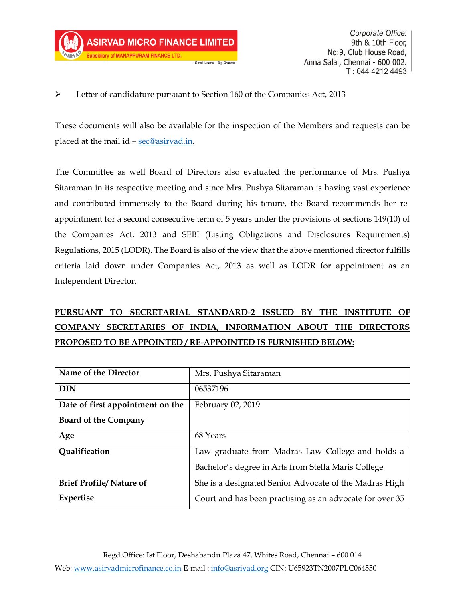### ➢ Letter of candidature pursuant to Section 160 of the Companies Act, 2013

Small Loans... Big Dreams

These documents will also be available for the inspection of the Members and requests can be placed at the mail id – [sec@asirvad.in.](mailto:sec@asirvad.in)

The Committee as well Board of Directors also evaluated the performance of Mrs. Pushya Sitaraman in its respective meeting and since Mrs. Pushya Sitaraman is having vast experience and contributed immensely to the Board during his tenure, the Board recommends her reappointment for a second consecutive term of 5 years under the provisions of sections 149(10) of the Companies Act, 2013 and SEBI (Listing Obligations and Disclosures Requirements) Regulations, 2015 (LODR). The Board is also of the view that the above mentioned director fulfills criteria laid down under Companies Act, 2013 as well as LODR for appointment as an Independent Director.

# **PURSUANT TO SECRETARIAL STANDARD-2 ISSUED BY THE INSTITUTE OF COMPANY SECRETARIES OF INDIA, INFORMATION ABOUT THE DIRECTORS PROPOSED TO BE APPOINTED / RE-APPOINTED IS FURNISHED BELOW:**

| Name of the Director             | Mrs. Pushya Sitaraman                                    |
|----------------------------------|----------------------------------------------------------|
| <b>DIN</b>                       | 06537196                                                 |
| Date of first appointment on the | February 02, 2019                                        |
| <b>Board of the Company</b>      |                                                          |
| Age                              | 68 Years                                                 |
| Qualification                    | Law graduate from Madras Law College and holds a         |
|                                  | Bachelor's degree in Arts from Stella Maris College      |
| <b>Brief Profile/Nature of</b>   | She is a designated Senior Advocate of the Madras High   |
| Expertise                        | Court and has been practising as an advocate for over 35 |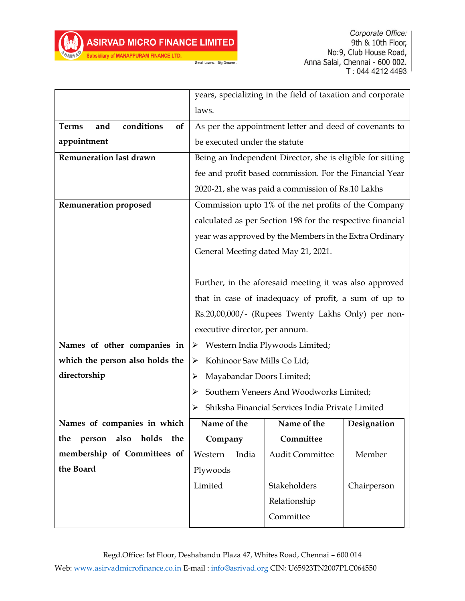Small Loans... Big Dreams.

Subsidiary of MANAPPURAM FINANCE LTD.

|                                         | years, specializing in the field of taxation and corporate |                                                            |             |  |
|-----------------------------------------|------------------------------------------------------------|------------------------------------------------------------|-------------|--|
|                                         | laws.                                                      |                                                            |             |  |
| conditions<br><b>Terms</b><br>and<br>of |                                                            | As per the appointment letter and deed of covenants to     |             |  |
| appointment                             | be executed under the statute                              |                                                            |             |  |
| Remuneration last drawn                 |                                                            | Being an Independent Director, she is eligible for sitting |             |  |
|                                         | fee and profit based commission. For the Financial Year    |                                                            |             |  |
|                                         | 2020-21, she was paid a commission of Rs.10 Lakhs          |                                                            |             |  |
| <b>Remuneration proposed</b>            | Commission upto 1% of the net profits of the Company       |                                                            |             |  |
|                                         | calculated as per Section 198 for the respective financial |                                                            |             |  |
|                                         | year was approved by the Members in the Extra Ordinary     |                                                            |             |  |
|                                         | General Meeting dated May 21, 2021.                        |                                                            |             |  |
|                                         |                                                            |                                                            |             |  |
|                                         | Further, in the aforesaid meeting it was also approved     |                                                            |             |  |
|                                         | that in case of inadequacy of profit, a sum of up to       |                                                            |             |  |
|                                         | Rs.20,00,000/- (Rupees Twenty Lakhs Only) per non-         |                                                            |             |  |
|                                         | executive director, per annum.                             |                                                            |             |  |
| Names of other companies in             | > Western India Plywoods Limited;                          |                                                            |             |  |
| which the person also holds the         | Kohinoor Saw Mills Co Ltd;<br>➤                            |                                                            |             |  |
| directorship                            | Mayabandar Doors Limited;<br>➤                             |                                                            |             |  |
|                                         | Southern Veneers And Woodworks Limited;<br>➤               |                                                            |             |  |
|                                         | Shiksha Financial Services India Private Limited           |                                                            |             |  |
| Names of companies in which             | Name of the                                                | Name of the                                                | Designation |  |
| holds<br>the<br>the<br>person<br>also   | Company                                                    | Committee                                                  |             |  |
| membership of Committees of             | India<br>Western                                           | <b>Audit Committee</b>                                     | Member      |  |
| the Board                               | Plywoods                                                   |                                                            |             |  |
|                                         | Limited                                                    | Stakeholders                                               | Chairperson |  |
|                                         |                                                            | Relationship                                               |             |  |
|                                         |                                                            | Committee                                                  |             |  |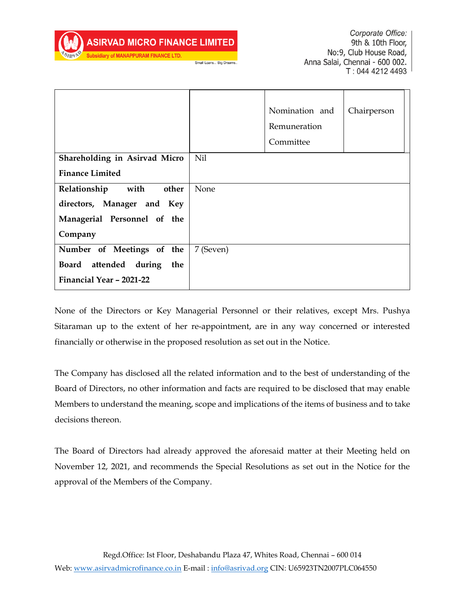**AN OF MANAPPURAM FINANCE LTD** 

Corporate Office: 9th & 10th Floor, No:9, Club House Road, Anna Salai, Chennai - 600 002. T: 044 4212 4493

|                               |           | Nomination and<br>Remuneration<br>Committee | Chairperson |
|-------------------------------|-----------|---------------------------------------------|-------------|
| Shareholding in Asirvad Micro | Nil       |                                             |             |
| <b>Finance Limited</b>        |           |                                             |             |
| with<br>Relationship<br>other | None      |                                             |             |
| directors, Manager and Key    |           |                                             |             |
| Managerial Personnel of the   |           |                                             |             |
| Company                       |           |                                             |             |
| Number of Meetings of the     | 7 (Seven) |                                             |             |
| Board attended during<br>the  |           |                                             |             |
| Financial Year – 2021-22      |           |                                             |             |

Small Loans... Big Dreams

None of the Directors or Key Managerial Personnel or their relatives, except Mrs. Pushya Sitaraman up to the extent of her re-appointment, are in any way concerned or interested financially or otherwise in the proposed resolution as set out in the Notice.

The Company has disclosed all the related information and to the best of understanding of the Board of Directors, no other information and facts are required to be disclosed that may enable Members to understand the meaning, scope and implications of the items of business and to take decisions thereon.

The Board of Directors had already approved the aforesaid matter at their Meeting held on November 12, 2021, and recommends the Special Resolutions as set out in the Notice for the approval of the Members of the Company.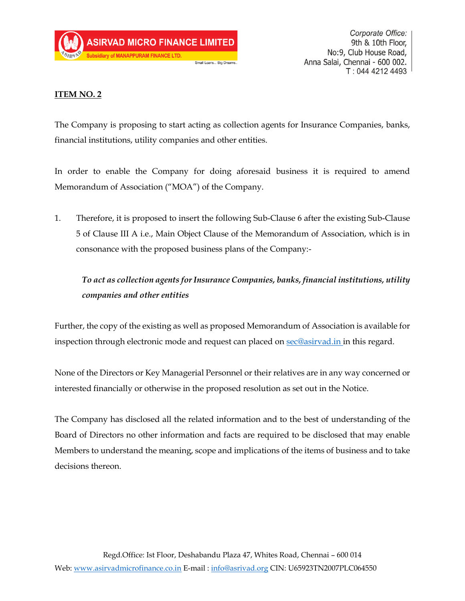

### **ITEM NO. 2**

The Company is proposing to start acting as collection agents for Insurance Companies, banks, financial institutions, utility companies and other entities.

In order to enable the Company for doing aforesaid business it is required to amend Memorandum of Association ("MOA") of the Company.

1. Therefore, it is proposed to insert the following Sub-Clause 6 after the existing Sub-Clause 5 of Clause III A i.e., Main Object Clause of the Memorandum of Association, which is in consonance with the proposed business plans of the Company:-

## *To act as collection agents for Insurance Companies, banks, financial institutions, utility companies and other entities*

Further, the copy of the existing as well as proposed Memorandum of Association is available for inspection through electronic mode and request can placed on [sec@asirvad.in](mailto:sec@asirvad.in) in this regard.

None of the Directors or Key Managerial Personnel or their relatives are in any way concerned or interested financially or otherwise in the proposed resolution as set out in the Notice.

The Company has disclosed all the related information and to the best of understanding of the Board of Directors no other information and facts are required to be disclosed that may enable Members to understand the meaning, scope and implications of the items of business and to take decisions thereon.